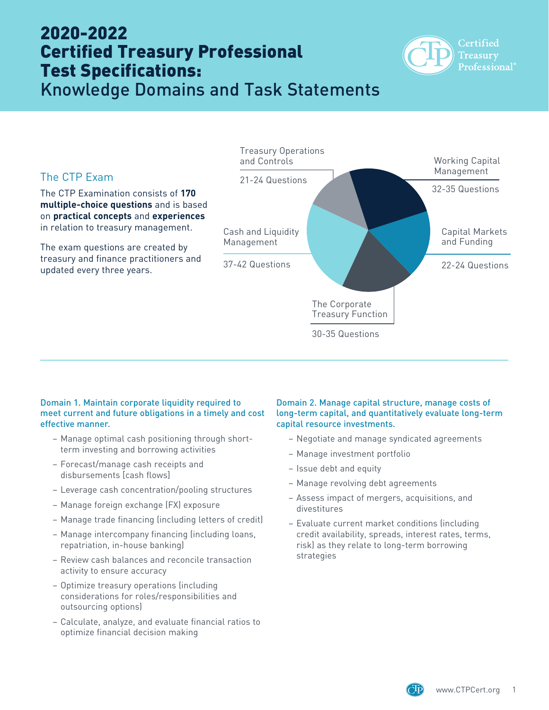# 2020-2022 Certified Treasury Professional Test Specifications:



Knowledge Domains and Task Statements



#### Domain 1. Maintain corporate liquidity required to meet current and future obligations in a timely and cost effective manner.

- Manage optimal cash positioning through shortterm investing and borrowing activities
- Forecast/manage cash receipts and disbursements [cash flows]
- Leverage cash concentration/pooling structures
- Manage foreign exchange (FX) exposure
- Manage trade financing (including letters of credit)
- Manage intercompany financing (including loans, repatriation, in-house banking)
- Review cash balances and reconcile transaction activity to ensure accuracy
- Optimize treasury operations (including considerations for roles/responsibilities and outsourcing options)
- Calculate, analyze, and evaluate financial ratios to optimize financial decision making

### Domain 2. Manage capital structure, manage costs of long-term capital, and quantitatively evaluate long-term capital resource investments.

- Negotiate and manage syndicated agreements
- Manage investment portfolio
- Issue debt and equity
- Manage revolving debt agreements
- Assess impact of mergers, acquisitions, and divestitures
- Evaluate current market conditions (including credit availability, spreads, interest rates, terms, risk) as they relate to long-term borrowing strategies

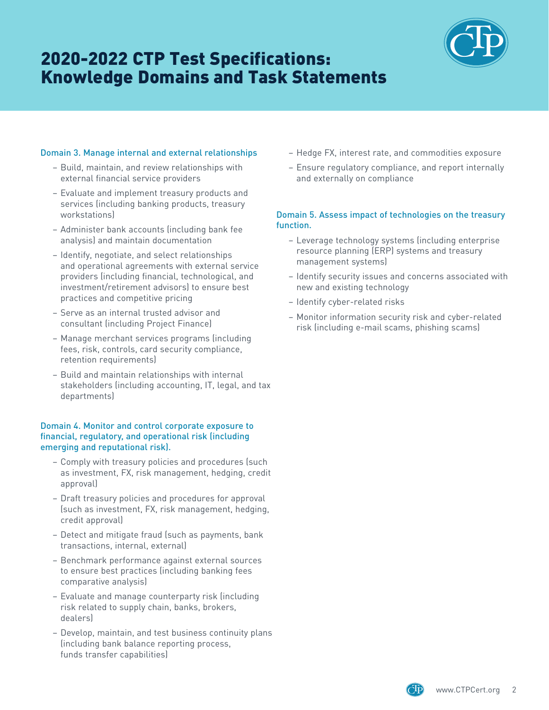# 2020-2022 CTP Test Specifications: Knowledge Domains and Task Statements



### Domain 3. Manage internal and external relationships

- Build, maintain, and review relationships with external financial service providers
- Evaluate and implement treasury products and services (including banking products, treasury workstations)
- Administer bank accounts (including bank fee analysis) and maintain documentation
- Identify, negotiate, and select relationships and operational agreements with external service providers (including financial, technological, and investment/retirement advisors) to ensure best practices and competitive pricing
- Serve as an internal trusted advisor and consultant (including Project Finance)
- Manage merchant services programs (including fees, risk, controls, card security compliance, retention requirements)
- Build and maintain relationships with internal stakeholders (including accounting, IT, legal, and tax departments)

#### Domain 4. Monitor and control corporate exposure to financial, regulatory, and operational risk (including emerging and reputational risk).

- Comply with treasury policies and procedures (such as investment, FX, risk management, hedging, credit approval)
- Draft treasury policies and procedures for approval (such as investment, FX, risk management, hedging, credit approval)
- Detect and mitigate fraud (such as payments, bank transactions, internal, external)
- Benchmark performance against external sources to ensure best practices (including banking fees comparative analysis)
- Evaluate and manage counterparty risk (including risk related to supply chain, banks, brokers, dealers)
- Develop, maintain, and test business continuity plans (including bank balance reporting process, funds transfer capabilities)
- Hedge FX, interest rate, and commodities exposure
- Ensure regulatory compliance, and report internally and externally on compliance

### Domain 5. Assess impact of technologies on the treasury function.

- Leverage technology systems (including enterprise resource planning (ERP) systems and treasury management systems)
- Identify security issues and concerns associated with new and existing technology
- Identify cyber-related risks
- Monitor information security risk and cyber-related risk (including e-mail scams, phishing scams)

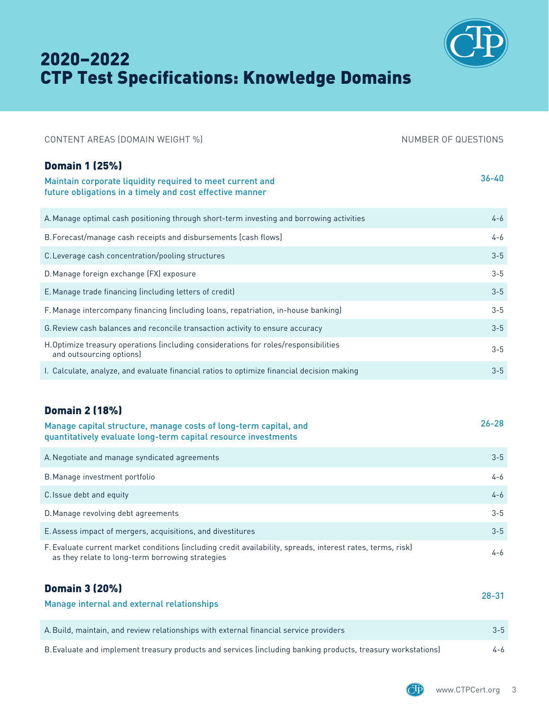

# 2020–2022 CTP Test Specifications: Knowledge Domains

| CONTENT AREAS (DOMAIN WEIGHT %)                                                                                                                                 | NUMBER OF QUESTIONS |
|-----------------------------------------------------------------------------------------------------------------------------------------------------------------|---------------------|
| <b>Domain 1 (25%)</b><br>Maintain corporate liquidity required to meet current and                                                                              | $36 - 40$           |
| future obligations in a timely and cost effective manner                                                                                                        |                     |
| A. Manage optimal cash positioning through short-term investing and borrowing activities                                                                        | $4 - 6$             |
| B. Forecast/manage cash receipts and disbursements [cash flows]                                                                                                 | 4-6                 |
| C. Leverage cash concentration/pooling structures                                                                                                               | $3 - 5$             |
| D. Manage foreign exchange (FX) exposure                                                                                                                        | $3 - 5$             |
| E. Manage trade financing (including letters of credit)                                                                                                         | $3 - 5$             |
| F. Manage intercompany financing (including loans, repatriation, in-house banking)                                                                              | $3 - 5$             |
| G. Review cash balances and reconcile transaction activity to ensure accuracy                                                                                   | $3 - 5$             |
| H.Optimize treasury operations (including considerations for roles/responsibilities<br>and outsourcing options)                                                 | $3 - 5$             |
| I. Calculate, analyze, and evaluate financial ratios to optimize financial decision making                                                                      | $3 - 5$             |
|                                                                                                                                                                 |                     |
| <b>Domain 2 (18%)</b>                                                                                                                                           |                     |
| Manage capital structure, manage costs of long-term capital, and<br>quantitatively evaluate long-term capital resource investments                              | $26 - 28$           |
| A. Negotiate and manage syndicated agreements                                                                                                                   | $3 - 5$             |
| B. Manage investment portfolio                                                                                                                                  | 4-6                 |
| C. Issue debt and equity                                                                                                                                        | $4 - 6$             |
| D. Manage revolving debt agreements                                                                                                                             | $3 - 5$             |
| E. Assess impact of mergers, acquisitions, and divestitures                                                                                                     | $3 - 5$             |
| F. Evaluate current market conditions (including credit availability, spreads, interest rates, terms, risk)<br>as they relate to long-term borrowing strategies | 4-6                 |
| <b>Domain 3 (20%)</b>                                                                                                                                           |                     |
| Manage internal and external relationships                                                                                                                      | $28 - 31$           |
| A. Build, maintain, and review relationships with external financial service providers                                                                          | $3 - 5$             |

B.Evaluate and implement treasury products and services (including banking products, treasury workstations) 4-6